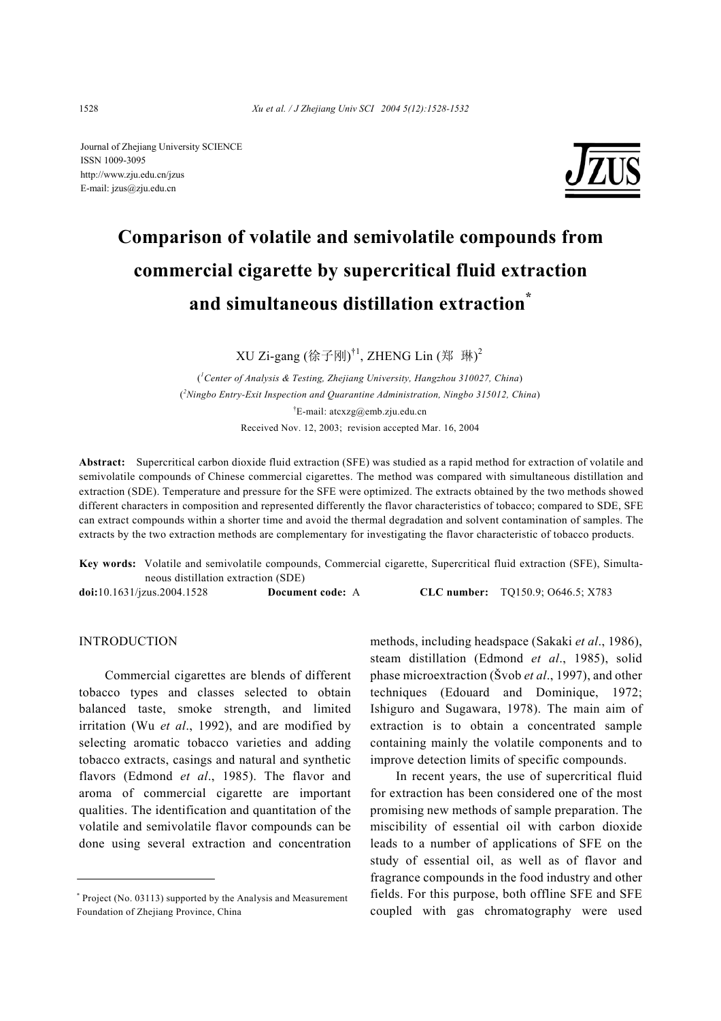Journal of Zhejiang University SCIENCE ISSN 1009-3095 http://www.zju.edu.cn/jzus E-mail: jzus@zju.edu.cn



# **Comparison of volatile and semivolatile compounds from commercial cigarette by supercritical fluid extraction and simultaneous distillation extraction\***

XU Zi-gang (徐子刚)<sup>†1</sup>, ZHENG Lin (郑 琳)<sup>2</sup>

( *1 Center of Analysis & Testing, Zhejiang University, Hangzhou 310027, China*) ( *2 Ningbo Entry-Exit Inspection and Quarantine Administration, Ningbo 315012, China*) † E-mail: atcxzg@emb.zju.edu.cn Received Nov. 12, 2003; revision accepted Mar. 16, 2004

**Abstract:** Supercritical carbon dioxide fluid extraction (SFE) was studied as a rapid method for extraction of volatile and semivolatile compounds of Chinese commercial cigarettes. The method was compared with simultaneous distillation and extraction (SDE). Temperature and pressure for the SFE were optimized. The extracts obtained by the two methods showed different characters in composition and represented differently the flavor characteristics of tobacco; compared to SDE, SFE can extract compounds within a shorter time and avoid the thermal degradation and solvent contamination of samples. The extracts by the two extraction methods are complementary for investigating the flavor characteristic of tobacco products.

**Key words:** Volatile and semivolatile compounds, Commercial cigarette, Supercritical fluid extraction (SFE), Simultaneous distillation extraction (SDE) **doi:**10.1631/jzus.2004.1528 **Document code:** A **CLC number:** TQ150.9; O646.5; X783

# INTRODUCTION

Commercial cigarettes are blends of different tobacco types and classes selected to obtain balanced taste, smoke strength, and limited irritation (Wu *et al*., 1992), and are modified by selecting aromatic tobacco varieties and adding tobacco extracts, casings and natural and synthetic flavors (Edmond *et al*., 1985). The flavor and aroma of commercial cigarette are important qualities. The identification and quantitation of the volatile and semivolatile flavor compounds can be done using several extraction and concentration

methods, including headspace (Sakaki *et al*., 1986), steam distillation (Edmond *et al*., 1985), solid phase microextraction (Švob *et al*., 1997), and other techniques (Edouard and Dominique, 1972; Ishiguro and Sugawara, 1978). The main aim of extraction is to obtain a concentrated sample containing mainly the volatile components and to improve detection limits of specific compounds.

In recent years, the use of supercritical fluid for extraction has been considered one of the most promising new methods of sample preparation. The miscibility of essential oil with carbon dioxide leads to a number of applications of SFE on the study of essential oil, as well as of flavor and fragrance compounds in the food industry and other fields. For this purpose, both offline SFE and SFE coupled with gas chromatography were used

<sup>\*</sup> Project (No. 03113) supported by the Analysis and Measurement Foundation of Zhejiang Province, China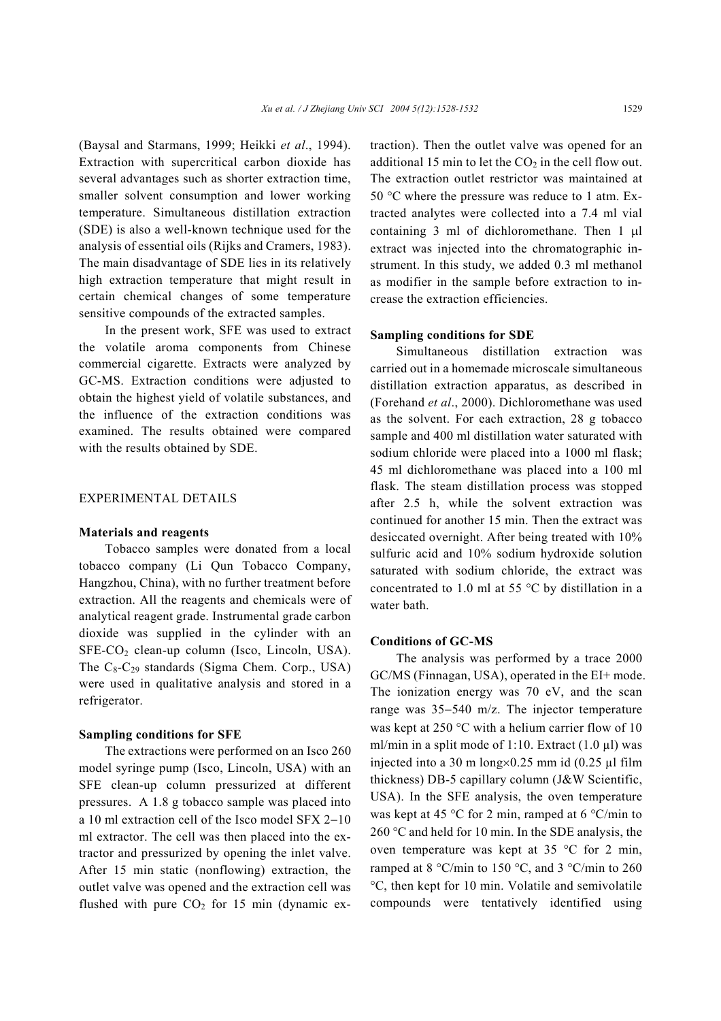(Baysal and Starmans, 1999; Heikki *et al*., 1994). Extraction with supercritical carbon dioxide has several advantages such as shorter extraction time, smaller solvent consumption and lower working temperature. Simultaneous distillation extraction (SDE) is also a well-known technique used for the analysis of essential oils (Rijks and Cramers, 1983). The main disadvantage of SDE lies in its relatively high extraction temperature that might result in certain chemical changes of some temperature sensitive compounds of the extracted samples.

In the present work, SFE was used to extract the volatile aroma components from Chinese commercial cigarette. Extracts were analyzed by GC-MS. Extraction conditions were adjusted to obtain the highest yield of volatile substances, and the influence of the extraction conditions was examined. The results obtained were compared with the results obtained by SDE.

## EXPERIMENTAL DETAILS

#### **Materials and reagents**

Tobacco samples were donated from a local tobacco company (Li Qun Tobacco Company, Hangzhou, China), with no further treatment before extraction. All the reagents and chemicals were of analytical reagent grade. Instrumental grade carbon dioxide was supplied in the cylinder with an  $SFE-CO<sub>2</sub> clean-up column (Isco, Lincoln, USA).$ The  $C_8$ - $C_{29}$  standards (Sigma Chem. Corp., USA) were used in qualitative analysis and stored in a refrigerator.

#### **Sampling conditions for SFE**

The extractions were performed on an Isco 260 model syringe pump (Isco, Lincoln, USA) with an SFE clean-up column pressurized at different pressures. A 1.8 g tobacco sample was placed into a 10 ml extraction cell of the Isco model SFX 2−10 ml extractor. The cell was then placed into the extractor and pressurized by opening the inlet valve. After 15 min static (nonflowing) extraction, the outlet valve was opened and the extraction cell was flushed with pure  $CO<sub>2</sub>$  for 15 min (dynamic extraction). Then the outlet valve was opened for an additional 15 min to let the  $CO<sub>2</sub>$  in the cell flow out. The extraction outlet restrictor was maintained at 50 °C where the pressure was reduce to 1 atm. Extracted analytes were collected into a 7.4 ml vial containing 3 ml of dichloromethane. Then 1 µl extract was injected into the chromatographic instrument. In this study, we added 0.3 ml methanol as modifier in the sample before extraction to increase the extraction efficiencies.

## **Sampling conditions for SDE**

Simultaneous distillation extraction was carried out in a homemade microscale simultaneous distillation extraction apparatus, as described in (Forehand *et al*., 2000). Dichloromethane was used as the solvent. For each extraction, 28 g tobacco sample and 400 ml distillation water saturated with sodium chloride were placed into a 1000 ml flask; 45 ml dichloromethane was placed into a 100 ml flask. The steam distillation process was stopped after 2.5 h, while the solvent extraction was continued for another 15 min. Then the extract was desiccated overnight. After being treated with 10% sulfuric acid and 10% sodium hydroxide solution saturated with sodium chloride, the extract was concentrated to 1.0 ml at 55 °C by distillation in a water bath.

# **Conditions of GC-MS**

The analysis was performed by a trace 2000 GC/MS (Finnagan, USA), operated in the EI+ mode. The ionization energy was 70 eV, and the scan range was 35−540 m/z. The injector temperature was kept at 250 °C with a helium carrier flow of 10 ml/min in a split mode of 1:10. Extract  $(1.0 \mu l)$  was injected into a 30 m long $\times$ 0.25 mm id (0.25 µl film thickness) DB-5 capillary column (J&W Scientific, USA). In the SFE analysis, the oven temperature was kept at 45 °C for 2 min, ramped at 6 °C/min to 260 °C and held for 10 min. In the SDE analysis, the oven temperature was kept at 35 °C for 2 min, ramped at 8 °C/min to 150 °C, and 3 °C/min to 260 °C, then kept for 10 min. Volatile and semivolatile compounds were tentatively identified using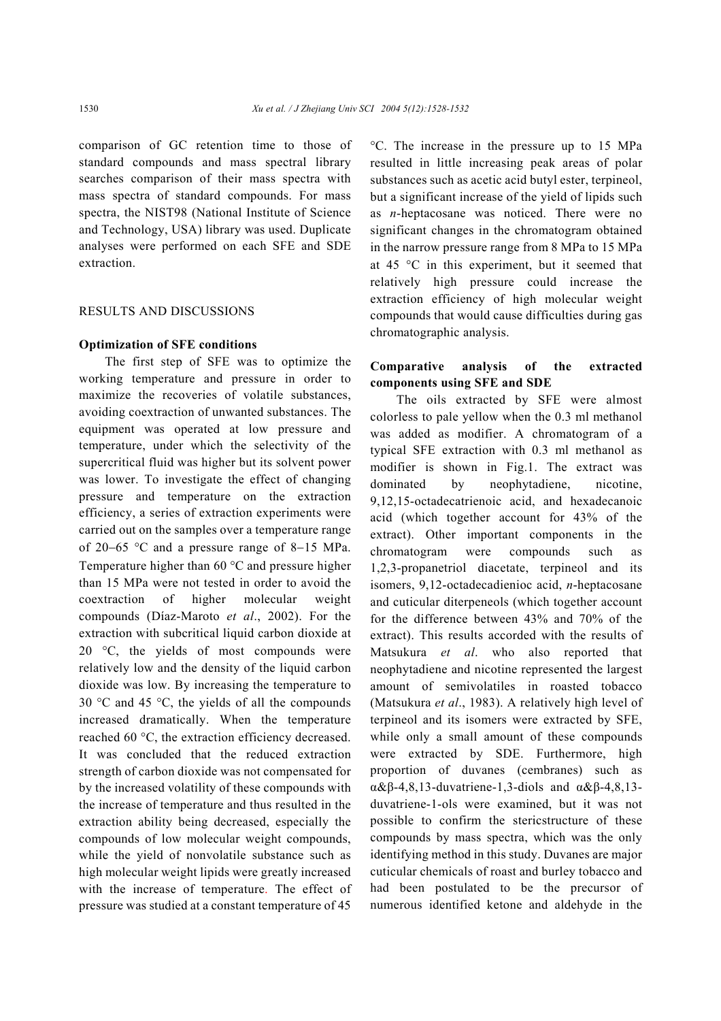comparison of GC retention time to those of standard compounds and mass spectral library searches comparison of their mass spectra with mass spectra of standard compounds. For mass spectra, the NIST98 (National Institute of Science and Technology, USA) library was used. Duplicate analyses were performed on each SFE and SDE extraction.

# RESULTS AND DISCUSSIONS

#### **Optimization of SFE conditions**

The first step of SFE was to optimize the working temperature and pressure in order to maximize the recoveries of volatile substances, avoiding coextraction of unwanted substances. The equipment was operated at low pressure and temperature, under which the selectivity of the supercritical fluid was higher but its solvent power was lower. To investigate the effect of changing pressure and temperature on the extraction efficiency, a series of extraction experiments were carried out on the samples over a temperature range of 20−65 °C and a pressure range of 8−15 MPa. Temperature higher than 60 °C and pressure higher than 15 MPa were not tested in order to avoid the coextraction of higher molecular weight compounds (Díaz-Maroto *et al*., 2002). For the extraction with subcritical liquid carbon dioxide at 20 °C, the yields of most compounds were relatively low and the density of the liquid carbon dioxide was low. By increasing the temperature to 30 °C and 45 °C, the yields of all the compounds increased dramatically. When the temperature reached 60 °C, the extraction efficiency decreased. It was concluded that the reduced extraction strength of carbon dioxide was not compensated for by the increased volatility of these compounds with the increase of temperature and thus resulted in the extraction ability being decreased, especially the compounds of low molecular weight compounds, while the yield of nonvolatile substance such as high molecular weight lipids were greatly increased with the increase of temperature. The effect of pressure was studied at a constant temperature of 45 °C. The increase in the pressure up to 15 MPa resulted in little increasing peak areas of polar substances such as acetic acid butyl ester, terpineol, but a significant increase of the yield of lipids such as *n*-heptacosane was noticed. There were no significant changes in the chromatogram obtained in the narrow pressure range from 8 MPa to 15 MPa at 45 °C in this experiment, but it seemed that relatively high pressure could increase the extraction efficiency of high molecular weight compounds that would cause difficulties during gas chromatographic analysis.

# **Comparative analysis of the extracted components using SFE and SDE**

The oils extracted by SFE were almost colorless to pale yellow when the 0.3 ml methanol was added as modifier. A chromatogram of a typical SFE extraction with 0.3 ml methanol as modifier is shown in Fig.1. The extract was dominated by neophytadiene, nicotine, 9,12,15-octadecatrienoic acid, and hexadecanoic acid (which together account for 43% of the extract). Other important components in the chromatogram were compounds such as 1,2,3-propanetriol diacetate, terpineol and its isomers, 9,12-octadecadienioc acid, *n*-heptacosane and cuticular diterpeneols (which together account for the difference between 43% and 70% of the extract). This results accorded with the results of Matsukura *et al*. who also reported that neophytadiene and nicotine represented the largest amount of semivolatiles in roasted tobacco (Matsukura *et al*., 1983). A relatively high level of terpineol and its isomers were extracted by SFE, while only a small amount of these compounds were extracted by SDE. Furthermore, high proportion of duvanes (cembranes) such as α&β-4,8,13-duvatriene-1,3-diols and α&β-4,8,13 duvatriene-1-ols were examined, but it was not possible to confirm the stericstructure of these compounds by mass spectra, which was the only identifying method in this study. Duvanes are major cuticular chemicals of roast and burley tobacco and had been postulated to be the precursor of numerous identified ketone and aldehyde in the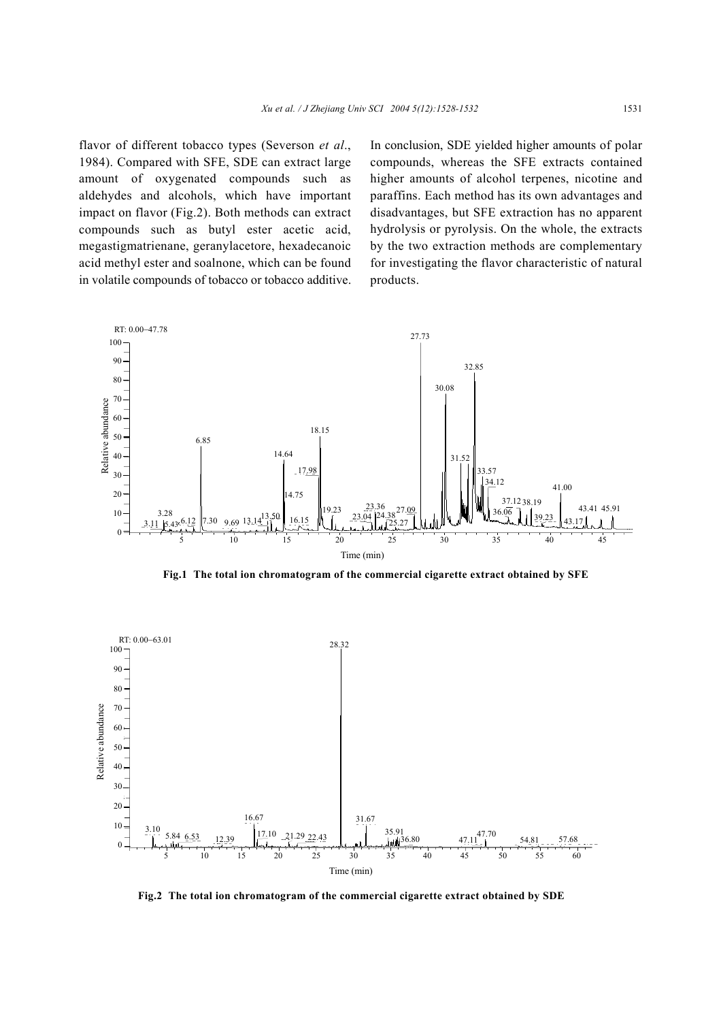flavor of different tobacco types (Severson *et al*., 1984). Compared with SFE, SDE can extract large amount of oxygenated compounds such as aldehydes and alcohols, which have important impact on flavor (Fig.2). Both methods can extract compounds such as butyl ester acetic acid, megastigmatrienane, geranylacetore, hexadecanoic acid methyl ester and soalnone, which can be found in volatile compounds of tobacco or tobacco additive.

In conclusion, SDE yielded higher amounts of polar compounds, whereas the SFE extracts contained higher amounts of alcohol terpenes, nicotine and paraffins. Each method has its own advantages and disadvantages, but SFE extraction has no apparent hydrolysis or pyrolysis. On the whole, the extracts by the two extraction methods are complementary for investigating the flavor characteristic of natural products.



**Fig.1 The total ion chromatogram of the commercial cigarette extract obtained by SFE**



**Fig.2 The total ion chromatogram of the commercial cigarette extract obtained by SDE**